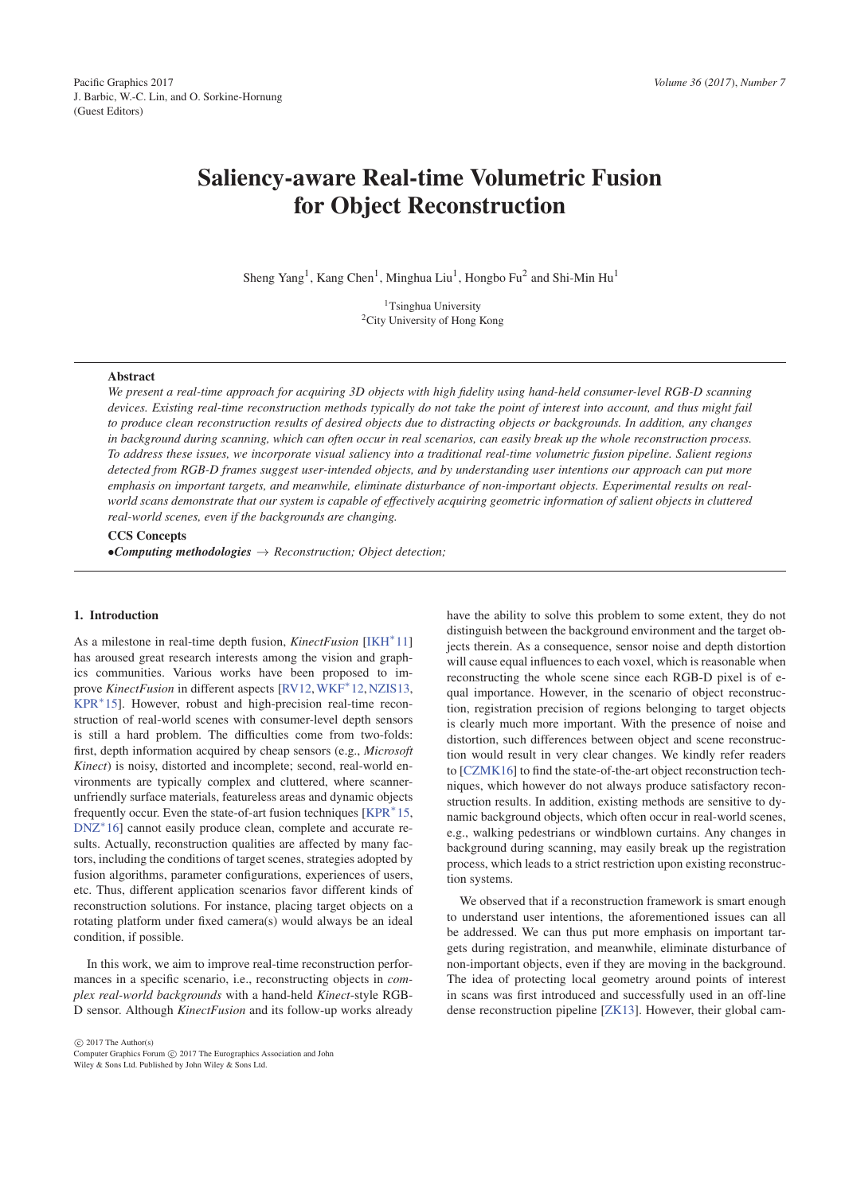# Saliency-aware Real-time Volumetric Fusion for Object Reconstruction

Sheng Yang<sup>1</sup>, Kang Chen<sup>1</sup>, Minghua Liu<sup>1</sup>, Hongbo Fu<sup>2</sup> and Shi-Min Hu<sup>1</sup>

<sup>1</sup>Tsinghua University 2City University of Hong Kong

#### Abstract

*We present a real-time approach for acquiring 3D objects with high fidelity using hand-held consumer-level RGB-D scanning devices. Existing real-time reconstruction methods typically do not take the point of interest into account, and thus might fail to produce clean reconstruction results of desired objects due to distracting objects or backgrounds. In addition, any changes in background during scanning, which can often occur in real scenarios, can easily break up the whole reconstruction process. To address these issues, we incorporate visual saliency into a traditional real-time volumetric fusion pipeline. Salient regions detected from RGB-D frames suggest user-intended objects, and by understanding user intentions our approach can put more emphasis on important targets, and meanwhile, eliminate disturbance of non-important objects. Experimental results on realworld scans demonstrate that our system is capable of effectively acquiring geometric information of salient objects in cluttered real-world scenes, even if the backgrounds are changing.*

# CCS Concepts

•*Computing methodologies* → *Reconstruction; Object detection;*

### 1. Introduction

As a milestone in real-time depth fusion, *KinectFusion* [IKH∗11] has aroused great research interests among the vision and graphics communities. Various works have been proposed to improve *KinectFusion* in different aspects [RV12, WKF<sup>\*</sup>12, NZIS13, KPR∗15]. However, robust and high-precision real-time reconstruction of real-world scenes with consumer-level depth sensors is still a hard problem. The difficulties come from two-folds: first, depth information acquired by cheap sensors (e.g., *Microsoft Kinect*) is noisy, distorted and incomplete; second, real-world environments are typically complex and cluttered, where scannerunfriendly surface materials, featureless areas and dynamic objects frequently occur. Even the state-of-art fusion techniques [KPR∗15, DNZ<sup>\*</sup>16] cannot easily produce clean, complete and accurate results. Actually, reconstruction qualities are affected by many factors, including the conditions of target scenes, strategies adopted by fusion algorithms, parameter configurations, experiences of users, etc. Thus, different application scenarios favor different kinds of reconstruction solutions. For instance, placing target objects on a rotating platform under fixed camera(s) would always be an ideal condition, if possible.

In this work, we aim to improve real-time reconstruction performances in a specific scenario, i.e., reconstructing objects in *complex real-world backgrounds* with a hand-held *Kinect*-style RGB-D sensor. Although *KinectFusion* and its follow-up works already

 $\odot$  2017 The Author(s)

Computer Graphics Forum  $\odot$  2017 The Eurographics Association and John Wiley & Sons Ltd. Published by John Wiley & Sons Ltd.

have the ability to solve this problem to some extent, they do not distinguish between the background environment and the target objects therein. As a consequence, sensor noise and depth distortion will cause equal influences to each voxel, which is reasonable when reconstructing the whole scene since each RGB-D pixel is of equal importance. However, in the scenario of object reconstruction, registration precision of regions belonging to target objects is clearly much more important. With the presence of noise and distortion, such differences between object and scene reconstruction would result in very clear changes. We kindly refer readers to [CZMK16] to find the state-of-the-art object reconstruction techniques, which however do not always produce satisfactory reconstruction results. In addition, existing methods are sensitive to dynamic background objects, which often occur in real-world scenes, e.g., walking pedestrians or windblown curtains. Any changes in background during scanning, may easily break up the registration process, which leads to a strict restriction upon existing reconstruction systems.

We observed that if a reconstruction framework is smart enough to understand user intentions, the aforementioned issues can all be addressed. We can thus put more emphasis on important targets during registration, and meanwhile, eliminate disturbance of non-important objects, even if they are moving in the background. The idea of protecting local geometry around points of interest in scans was first introduced and successfully used in an off-line dense reconstruction pipeline [ZK13]. However, their global cam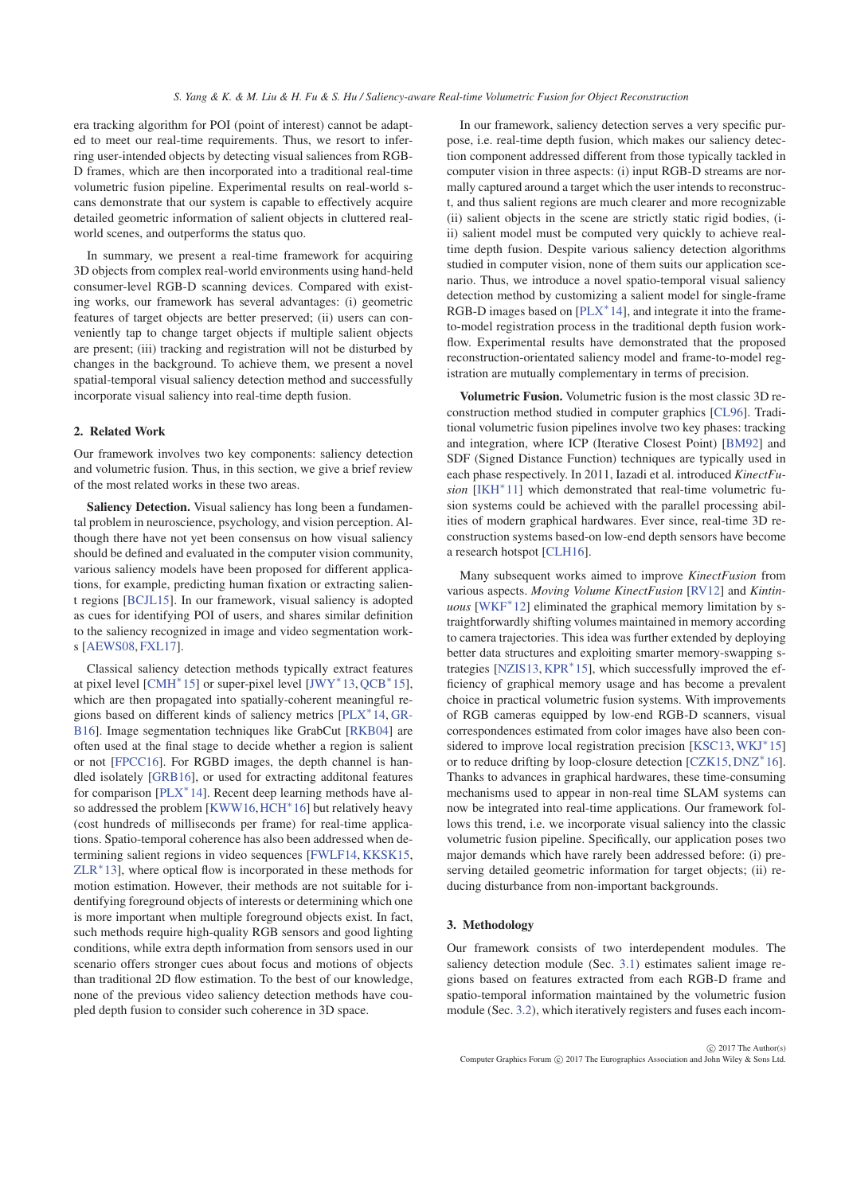era tracking algorithm for POI (point of interest) cannot be adapted to meet our real-time requirements. Thus, we resort to inferring user-intended objects by detecting visual saliences from RGB-D frames, which are then incorporated into a traditional real-time volumetric fusion pipeline. Experimental results on real-world scans demonstrate that our system is capable to effectively acquire detailed geometric information of salient objects in cluttered realworld scenes, and outperforms the status quo.

In summary, we present a real-time framework for acquiring 3D objects from complex real-world environments using hand-held consumer-level RGB-D scanning devices. Compared with existing works, our framework has several advantages: (i) geometric features of target objects are better preserved; (ii) users can conveniently tap to change target objects if multiple salient objects are present; (iii) tracking and registration will not be disturbed by changes in the background. To achieve them, we present a novel spatial-temporal visual saliency detection method and successfully incorporate visual saliency into real-time depth fusion.

### 2. Related Work

Our framework involves two key components: saliency detection and volumetric fusion. Thus, in this section, we give a brief review of the most related works in these two areas.

Saliency Detection. Visual saliency has long been a fundamental problem in neuroscience, psychology, and vision perception. Although there have not yet been consensus on how visual saliency should be defined and evaluated in the computer vision community, various saliency models have been proposed for different applications, for example, predicting human fixation or extracting salient regions [BCJL15]. In our framework, visual saliency is adopted as cues for identifying POI of users, and shares similar definition to the saliency recognized in image and video segmentation works [AEWS08,FXL17].

Classical saliency detection methods typically extract features at pixel level [CMH∗15] or super-pixel level [JWY∗13, QCB∗15], which are then propagated into spatially-coherent meaningful regions based on different kinds of saliency metrics [PLX∗14, GR-B16]. Image segmentation techniques like GrabCut [RKB04] are often used at the final stage to decide whether a region is salient or not [FPCC16]. For RGBD images, the depth channel is handled isolately [GRB16], or used for extracting additonal features for comparison [PLX<sup>\*</sup>14]. Recent deep learning methods have also addressed the problem [KWW16, HCH<sup>∗</sup>16] but relatively heavy (cost hundreds of milliseconds per frame) for real-time applications. Spatio-temporal coherence has also been addressed when determining salient regions in video sequences [FWLF14, KKSK15, ZLR∗13], where optical flow is incorporated in these methods for motion estimation. However, their methods are not suitable for identifying foreground objects of interests or determining which one is more important when multiple foreground objects exist. In fact, such methods require high-quality RGB sensors and good lighting conditions, while extra depth information from sensors used in our scenario offers stronger cues about focus and motions of objects than traditional 2D flow estimation. To the best of our knowledge, none of the previous video saliency detection methods have coupled depth fusion to consider such coherence in 3D space.

In our framework, saliency detection serves a very specific purpose, i.e. real-time depth fusion, which makes our saliency detection component addressed different from those typically tackled in computer vision in three aspects: (i) input RGB-D streams are normally captured around a target which the user intends to reconstruct, and thus salient regions are much clearer and more recognizable (ii) salient objects in the scene are strictly static rigid bodies, (iii) salient model must be computed very quickly to achieve realtime depth fusion. Despite various saliency detection algorithms studied in computer vision, none of them suits our application scenario. Thus, we introduce a novel spatio-temporal visual saliency detection method by customizing a salient model for single-frame RGB-D images based on  $[PLX^*14]$ , and integrate it into the frameto-model registration process in the traditional depth fusion workflow. Experimental results have demonstrated that the proposed reconstruction-orientated saliency model and frame-to-model registration are mutually complementary in terms of precision.

Volumetric Fusion. Volumetric fusion is the most classic 3D reconstruction method studied in computer graphics [CL96]. Traditional volumetric fusion pipelines involve two key phases: tracking and integration, where ICP (Iterative Closest Point) [BM92] and SDF (Signed Distance Function) techniques are typically used in each phase respectively. In 2011, Iazadi et al. introduced *KinectFusion* [IKH∗11] which demonstrated that real-time volumetric fusion systems could be achieved with the parallel processing abilities of modern graphical hardwares. Ever since, real-time 3D reconstruction systems based-on low-end depth sensors have become a research hotspot [CLH16].

Many subsequent works aimed to improve *KinectFusion* from various aspects. *Moving Volume KinectFusion* [RV12] and *Kintinuous* [WKF<sup>∗</sup>12] eliminated the graphical memory limitation by straightforwardly shifting volumes maintained in memory according to camera trajectories. This idea was further extended by deploying better data structures and exploiting smarter memory-swapping strategies [NZIS13, KPR∗15], which successfully improved the efficiency of graphical memory usage and has become a prevalent choice in practical volumetric fusion systems. With improvements of RGB cameras equipped by low-end RGB-D scanners, visual correspondences estimated from color images have also been considered to improve local registration precision [KSC13, WKJ<sup>\*</sup>15] or to reduce drifting by loop-closure detection [CZK15,DNZ∗16]. Thanks to advances in graphical hardwares, these time-consuming mechanisms used to appear in non-real time SLAM systems can now be integrated into real-time applications. Our framework follows this trend, i.e. we incorporate visual saliency into the classic volumetric fusion pipeline. Specifically, our application poses two major demands which have rarely been addressed before: (i) preserving detailed geometric information for target objects; (ii) reducing disturbance from non-important backgrounds.

### 3. Methodology

Our framework consists of two interdependent modules. The saliency detection module (Sec. 3.1) estimates salient image regions based on features extracted from each RGB-D frame and spatio-temporal information maintained by the volumetric fusion module (Sec. 3.2), which iteratively registers and fuses each incom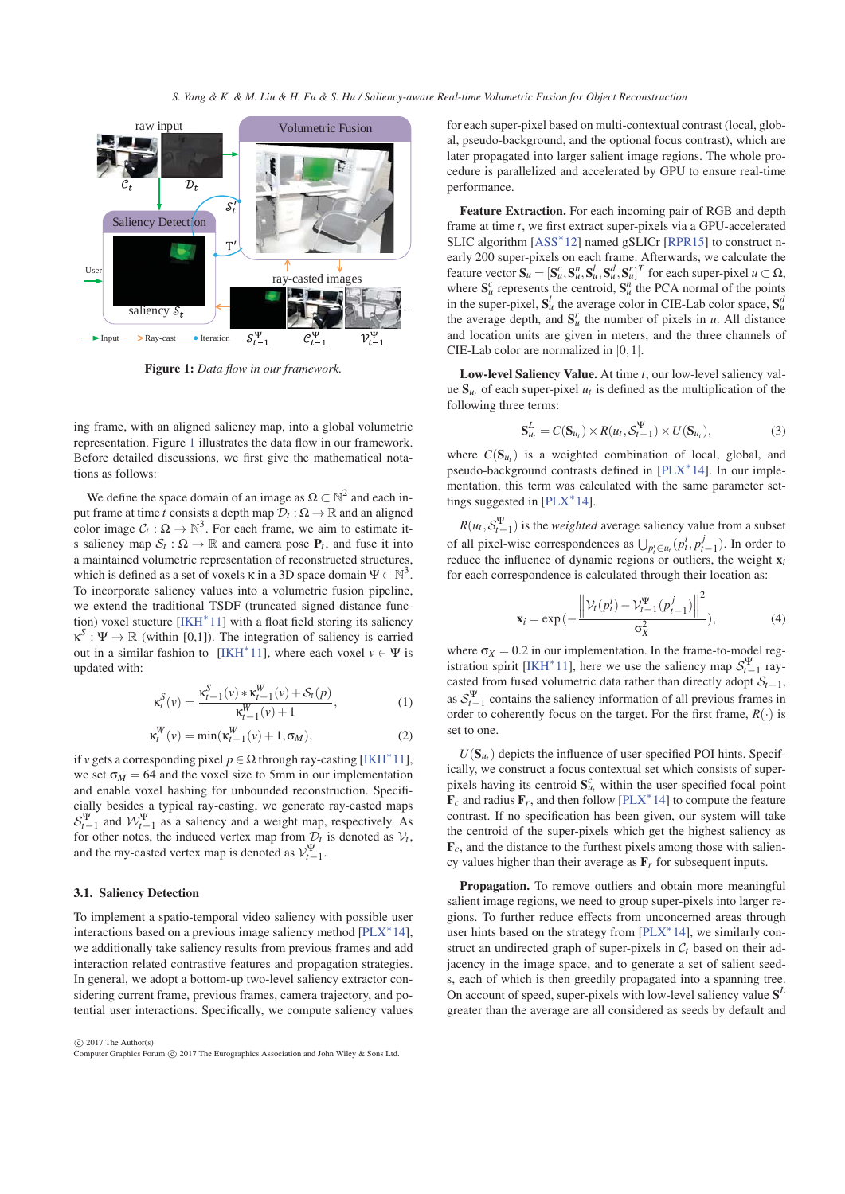*S. Yang & K. & M. Liu & H. Fu & S. Hu / Saliency-aware Real-time Volumetric Fusion for Object Reconstruction*



Figure 1: *Data flow in our framework.*

ing frame, with an aligned saliency map, into a global volumetric representation. Figure 1 illustrates the data flow in our framework. Before detailed discussions, we first give the mathematical notations as follows:

We define the space domain of an image as  $\Omega \subset \mathbb{N}^2$  and each input frame at time *t* consists a depth map  $\mathcal{D}_t : \Omega \to \mathbb{R}$  and an aligned color image  $C_t : \Omega \to \mathbb{N}^3$ . For each frame, we aim to estimate its saliency map  $S_t : \Omega \to \mathbb{R}$  and camera pose  $P_t$ , and fuse it into a maintained volumetric representation of reconstructed structures, which is defined as a set of voxels  $\kappa$  in a 3D space domain  $\Psi \subset \mathbb{N}^3$ . To incorporate saliency values into a volumetric fusion pipeline, we extend the traditional TSDF (truncated signed distance function) voxel stucture [IKH∗11] with a float field storing its saliency  $\kappa^{S}$ :  $\Psi \to \mathbb{R}$  (within [0,1]). The integration of saliency is carried out in a similar fashion to [IKH<sup>\*</sup>11], where each voxel  $v \in \Psi$  is updated with:

$$
\kappa_t^S(\nu) = \frac{\kappa_{t-1}^S(\nu) * \kappa_{t-1}^W(\nu) + S_t(p)}{\kappa_{t-1}^W(\nu) + 1},\tag{1}
$$

$$
\kappa_t^W(v) = \min(\kappa_{t-1}^W(v) + 1, \sigma_M),\tag{2}
$$

if *v* gets a corresponding pixel  $p \in \Omega$  through ray-casting [IKH<sup>\*</sup>11], we set  $\sigma_M = 64$  and the voxel size to 5mm in our implementation and enable voxel hashing for unbounded reconstruction. Specificially besides a typical ray-casting, we generate ray-casted maps  $S_{t-1}^{\Psi}$  and  $W_{t-1}^{\Psi}$  as a saliency and a weight map, respectively. As for other notes, the induced vertex map from  $\mathcal{D}_t$  is denoted as  $\mathcal{V}_t$ , and the ray-casted vertex map is denoted as  $\mathcal{V}_{t-1}^{\Psi}$ .

# 3.1. Saliency Detection

To implement a spatio-temporal video saliency with possible user interactions based on a previous image saliency method [PLX∗14], we additionally take saliency results from previous frames and add interaction related contrastive features and propagation strategies. In general, we adopt a bottom-up two-level saliency extractor considering current frame, previous frames, camera trajectory, and potential user interactions. Specifically, we compute saliency values

 $\odot$  2017 The Author(s) Computer Graphics Forum  $\odot$  2017 The Eurographics Association and John Wiley & Sons Ltd. for each super-pixel based on multi-contextual contrast (local, global, pseudo-background, and the optional focus contrast), which are later propagated into larger salient image regions. The whole procedure is parallelized and accelerated by GPU to ensure real-time performance.

Feature Extraction. For each incoming pair of RGB and depth frame at time *t*, we first extract super-pixels via a GPU-accelerated SLIC algorithm [ASS<sup>\*</sup>12] named gSLICr [RPR15] to construct nearly 200 super-pixels on each frame. Afterwards, we calculate the feature vector  $\mathbf{S}_u = [\mathbf{S}_u^c, \mathbf{S}_u^n, \mathbf{S}_u^l, \mathbf{S}_u^d, \mathbf{S}_u^r]^T$  for each super-pixel  $u \subset \Omega$ , where  $S_u^c$  represents the centroid,  $S_u^n$  the PCA normal of the points in the super-pixel,  $S_u^l$  the average color in CIE-Lab color space,  $S_u^a$ the average depth, and  $S'_u$  the number of pixels in  $u$ . All distance and location units are given in meters, and the three channels of CIE-Lab color are normalized in [0,1].

Low-level Saliency Value. At time *t*, our low-level saliency value  $S_{u_t}$  of each super-pixel  $u_t$  is defined as the multiplication of the following three terms:

$$
\mathbf{S}_{u_t}^L = C(\mathbf{S}_{u_t}) \times R(u_t, \mathcal{S}_{t-1}^{\Psi}) \times U(\mathbf{S}_{u_t}), \tag{3}
$$

where  $C(S_{u_t})$  is a weighted combination of local, global, and pseudo-background contrasts defined in [PLX∗14]. In our implementation, this term was calculated with the same parameter settings suggested in  $[PLX^*14]$ .

 $R(u_t, S_{t-1}^{\Psi})$  is the *weighted* average saliency value from a subset of all pixel-wise correspondences as  $\bigcup_{p_i \in u_t} (p_i^i, p_{t-1}^j)$ . In order to reduce the influence of dynamic regions or outliers, the weight  $x_i$ for each correspondence is calculated through their location as:

$$
\mathbf{x}_{i} = \exp\left(-\frac{\left\| \mathcal{V}_{t}(p_{t}^{i}) - \mathcal{V}_{t-1}^{\Psi}(p_{t-1}^{j}) \right\|^{2}}{\sigma_{X}^{2}}\right),\tag{4}
$$

where  $\sigma_X = 0.2$  in our implementation. In the frame-to-model registration spirit [IKH<sup>\*</sup>11], here we use the saliency map  $S_{t-1}^{\Psi}$  raycasted from fused volumetric data rather than directly adopt  $S_{t-1}$ , as  $S_{t-1}^{\Psi}$  contains the saliency information of all previous frames in order to coherently focus on the target. For the first frame,  $R(\cdot)$  is set to one.

 $U(\mathbf{S}_{u_t})$  depicts the influence of user-specified POI hints. Specifically, we construct a focus contextual set which consists of superpixels having its centroid  $S_{u_t}^c$  within the user-specified focal point  $\mathbf{F}_c$  and radius  $\mathbf{F}_r$ , and then follow [PLX<sup>\*</sup>14] to compute the feature contrast. If no specification has been given, our system will take the centroid of the super-pixels which get the highest saliency as F*c*, and the distance to the furthest pixels among those with saliency values higher than their average as  $\mathbf{F}_r$  for subsequent inputs.

Propagation. To remove outliers and obtain more meaningful salient image regions, we need to group super-pixels into larger regions. To further reduce effects from unconcerned areas through user hints based on the strategy from [PLX∗14], we similarly construct an undirected graph of super-pixels in  $C_t$  based on their adjacency in the image space, and to generate a set of salient seeds, each of which is then greedily propagated into a spanning tree. On account of speed, super-pixels with low-level saliency value  $S<sup>L</sup>$ greater than the average are all considered as seeds by default and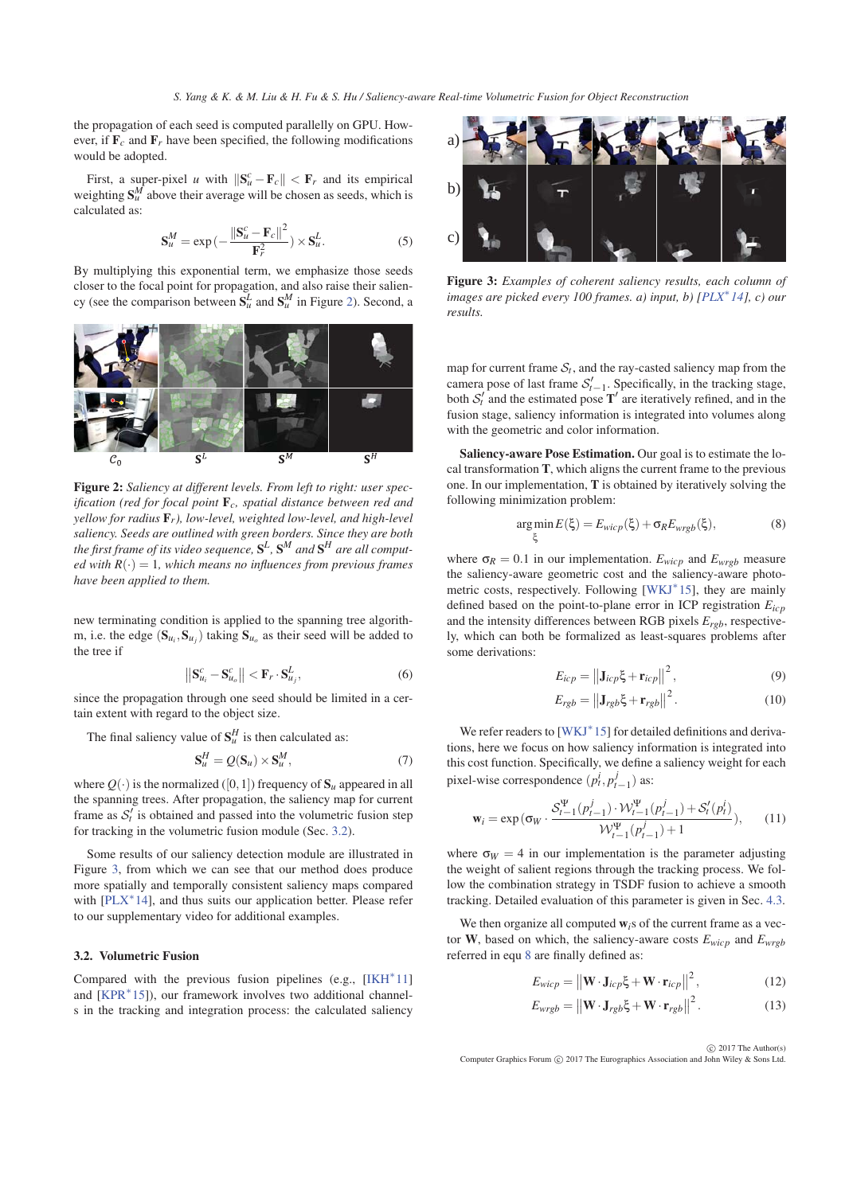the propagation of each seed is computed parallelly on GPU. However, if  $\mathbf{F}_c$  and  $\mathbf{F}_r$  have been specified, the following modifications would be adopted.

First, a super-pixel *u* with  $\|\mathbf{S}_{u}^{c} - \mathbf{F}_{c}\| < \mathbf{F}_{r}$  and its empirical weighting  $S_u^M$  above their average will be chosen as seeds, which is calculated as:

$$
\mathbf{S}_{u}^{M} = \exp\left(-\frac{\left\|\mathbf{S}_{u}^{c} - \mathbf{F}_{c}\right\|^{2}}{\mathbf{F}_{r}^{2}}\right) \times \mathbf{S}_{u}^{L}.
$$
 (5)

By multiplying this exponential term, we emphasize those seeds closer to the focal point for propagation, and also raise their saliency (see the comparison between  $S_u^L$  and  $S_u^M$  in Figure 2). Second, a



Figure 2: *Saliency at different levels. From left to right: user specification (red for focal point* F*c, spatial distance between red and yellow for radius* F*r), low-level, weighted low-level, and high-level saliency. Seeds are outlined with green borders. Since they are both the first frame of its video sequence,*  $S^L$ ,  $S^M$  *and*  $S^H$  *are all computed with*  $R(\cdot) = 1$ *, which means no influences from previous frames have been applied to them.*

new terminating condition is applied to the spanning tree algorithm, i.e. the edge  $(S_{u_i}, S_{u_j})$  taking  $S_{u_o}$  as their seed will be added to the tree if

$$
\left\| \mathbf{S}_{u_i}^c - \mathbf{S}_{u_o}^c \right\| < \mathbf{F}_r \cdot \mathbf{S}_{u_j}^L,\tag{6}
$$

since the propagation through one seed should be limited in a certain extent with regard to the object size.

The final saliency value of  $S_u^H$  is then calculated as:

$$
\mathbf{S}_u^H = Q(\mathbf{S}_u) \times \mathbf{S}_u^M,\tag{7}
$$

where  $Q(\cdot)$  is the normalized ([0,1]) frequency of  $S_u$  appeared in all the spanning trees. After propagation, the saliency map for current frame as  $S_t'$  is obtained and passed into the volumetric fusion step for tracking in the volumetric fusion module (Sec. 3.2).

Some results of our saliency detection module are illustrated in Figure 3, from which we can see that our method does produce more spatially and temporally consistent saliency maps compared with [PLX<sup>∗</sup>14], and thus suits our application better. Please refer to our supplementary video for additional examples.

# 3.2. Volumetric Fusion

Compared with the previous fusion pipelines (e.g., [IKH∗11] and [KPR∗15]), our framework involves two additional channels in the tracking and integration process: the calculated saliency



Figure 3: *Examples of coherent saliency results, each column of images are picked every 100 frames. a) input, b) [PLX*∗*14], c) our results.*

map for current frame  $S_t$ , and the ray-casted saliency map from the camera pose of last frame  $S'_{t-1}$ . Specifically, in the tracking stage, both  $S_t'$  and the estimated pose  $T'$  are iteratively refined, and in the fusion stage, saliency information is integrated into volumes along with the geometric and color information.

Saliency-aware Pose Estimation. Our goal is to estimate the local transformation T, which aligns the current frame to the previous one. In our implementation, T is obtained by iteratively solving the following minimization problem:

$$
\underset{\xi}{\arg\min} E(\xi) = E_{wicp}(\xi) + \sigma_R E_{wrgb}(\xi),\tag{8}
$$

where  $\sigma_R = 0.1$  in our implementation.  $E_{wicp}$  and  $E_{wrgb}$  measure the saliency-aware geometric cost and the saliency-aware photometric costs, respectively. Following [WKJ∗15], they are mainly defined based on the point-to-plane error in ICP registration *Eicp* and the intensity differences between RGB pixels *Ergb*, respectively, which can both be formalized as least-squares problems after some derivations:

$$
E_{icp} = ||\mathbf{J}_{icp}\xi + \mathbf{r}_{icp}||^2, \qquad (9)
$$

$$
E_{rgb} = \left\| \mathbf{J}_{rgb} \xi + \mathbf{r}_{rgb} \right\|^2.
$$
 (10)

We refer readers to [WKJ<sup>\*</sup>15] for detailed definitions and derivations, here we focus on how saliency information is integrated into this cost function. Specifically, we define a saliency weight for each pixel-wise correspondence  $(p_t^i, p_{t-1}^j)$  as:

$$
\mathbf{w}_{i} = \exp\left(\sigma_{W} \cdot \frac{\mathcal{S}_{t-1}^{\Psi}(p_{t-1}^{j}) \cdot \mathcal{W}_{t-1}^{\Psi}(p_{t-1}^{j}) + \mathcal{S}_{t}'(p_{t}^{i})}{\mathcal{W}_{t-1}^{\Psi}(p_{t-1}^{j}) + 1}\right), \quad (11)
$$

where  $\sigma_W = 4$  in our implementation is the parameter adjusting the weight of salient regions through the tracking process. We follow the combination strategy in TSDF fusion to achieve a smooth tracking. Detailed evaluation of this parameter is given in Sec. 4.3.

We then organize all computed  $w_i$ s of the current frame as a vector W, based on which, the saliency-aware costs *Ewicp* and *Ewrgb* referred in equ 8 are finally defined as:

$$
E_{wicp} = ||\mathbf{W} \cdot \mathbf{J}_{icp} \xi + \mathbf{W} \cdot \mathbf{r}_{icp}||^2, \qquad (12)
$$

$$
E_{wrgb} = ||\mathbf{W} \cdot \mathbf{J}_{rgb} \xi + \mathbf{W} \cdot \mathbf{r}_{rgb}||^2.
$$
 (13)

© 2017 The Author(s) Computer Graphics Forum  $\odot$  2017 The Eurographics Association and John Wiley & Sons Ltd.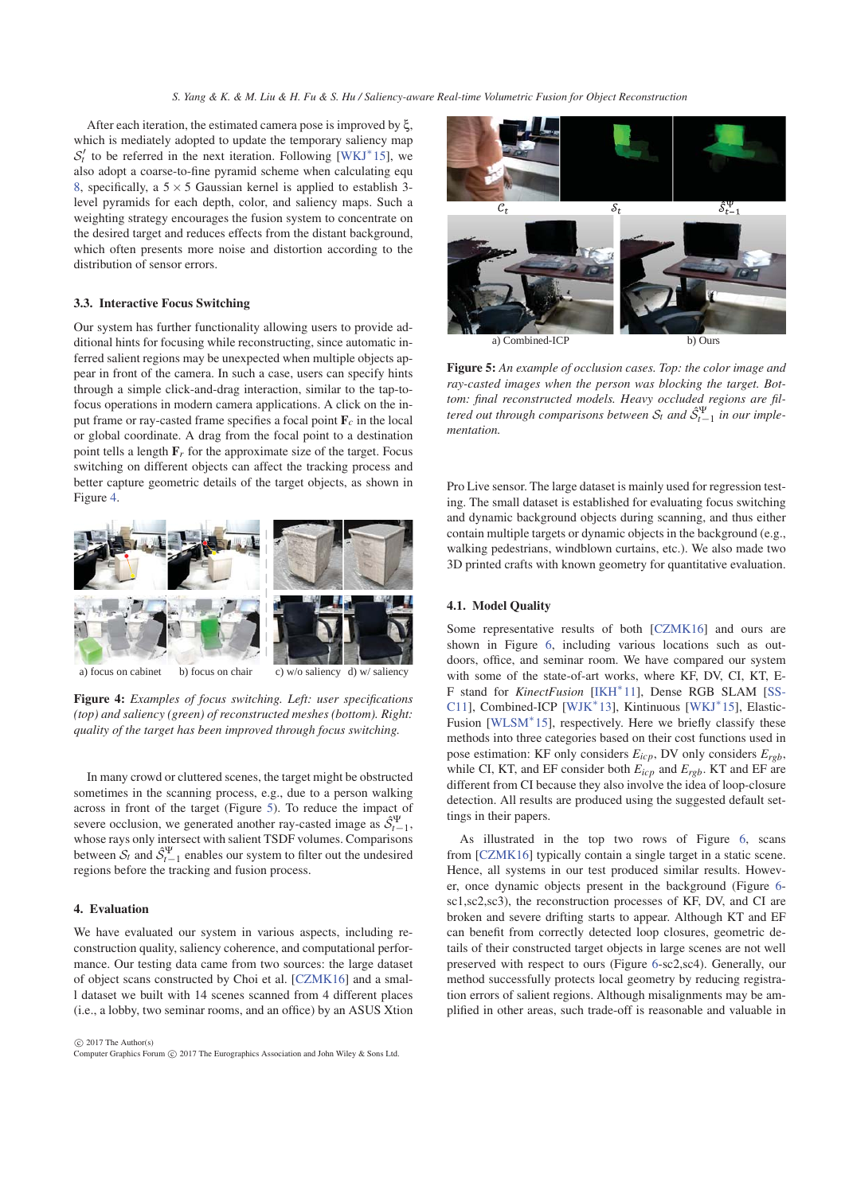After each iteration, the estimated camera pose is improved by ξ, which is mediately adopted to update the temporary saliency map  $S_t'$  to be referred in the next iteration. Following [WKJ<sup>\*</sup>15], we also adopt a coarse-to-fine pyramid scheme when calculating equ 8, specifically, a  $5 \times 5$  Gaussian kernel is applied to establish 3level pyramids for each depth, color, and saliency maps. Such a weighting strategy encourages the fusion system to concentrate on the desired target and reduces effects from the distant background, which often presents more noise and distortion according to the distribution of sensor errors.

### 3.3. Interactive Focus Switching

Our system has further functionality allowing users to provide additional hints for focusing while reconstructing, since automatic inferred salient regions may be unexpected when multiple objects appear in front of the camera. In such a case, users can specify hints through a simple click-and-drag interaction, similar to the tap-tofocus operations in modern camera applications. A click on the input frame or ray-casted frame specifies a focal point  $\mathbf{F}_c$  in the local or global coordinate. A drag from the focal point to a destination point tells a length  $\mathbf{F}_r$  for the approximate size of the target. Focus switching on different objects can affect the tracking process and better capture geometric details of the target objects, as shown in Figure 4.



a) focus on cabinet b) focus on chair c) w/o saliency d) w/ saliency

Figure 4: *Examples of focus switching. Left: user specifications (top) and saliency (green) of reconstructed meshes (bottom). Right: quality of the target has been improved through focus switching.*

In many crowd or cluttered scenes, the target might be obstructed sometimes in the scanning process, e.g., due to a person walking across in front of the target (Figure 5). To reduce the impact of severe occlusion, we generated another ray-casted image as  $\hat{\mathcal{S}}_{t-1}^{\Psi}$ , whose rays only intersect with salient TSDF volumes. Comparisons between  $S_t$  and  $\hat{S}_{t-1}^{\Psi}$  enables our system to filter out the undesired regions before the tracking and fusion process.

# 4. Evaluation

We have evaluated our system in various aspects, including reconstruction quality, saliency coherence, and computational performance. Our testing data came from two sources: the large dataset of object scans constructed by Choi et al. [CZMK16] and a small dataset we built with 14 scenes scanned from 4 different places (i.e., a lobby, two seminar rooms, and an office) by an ASUS Xtion

 $\odot$  2017 The Author(s) Computer Graphics Forum  $\odot$  2017 The Eurographics Association and John Wiley & Sons Ltd.



Figure 5: *An example of occlusion cases. Top: the color image and ray-casted images when the person was blocking the target. Bottom: final reconstructed models. Heavy occluded regions are filtered out through comparisons between*  $S_t$  *and*  $\hat{S}_{t-1}^{\Psi}$  *in our implementation.*

Pro Live sensor. The large dataset is mainly used for regression testing. The small dataset is established for evaluating focus switching and dynamic background objects during scanning, and thus either contain multiple targets or dynamic objects in the background (e.g., walking pedestrians, windblown curtains, etc.). We also made two 3D printed crafts with known geometry for quantitative evaluation.

### 4.1. Model Quality

Some representative results of both [CZMK16] and ours are shown in Figure 6, including various locations such as outdoors, office, and seminar room. We have compared our system with some of the state-of-art works, where KF, DV, CI, KT, E-F stand for *KinectFusion* [IKH∗11], Dense RGB SLAM [SS-C11], Combined-ICP [WJK∗13], Kintinuous [WKJ∗15], Elastic-Fusion [WLSM∗15], respectively. Here we briefly classify these methods into three categories based on their cost functions used in pose estimation: KF only considers *Eicp*, DV only considers *Ergb*, while CI, KT, and EF consider both  $E_{icp}$  and  $E_{rgb}$ . KT and EF are different from CI because they also involve the idea of loop-closure detection. All results are produced using the suggested default settings in their papers.

As illustrated in the top two rows of Figure 6, scans from [CZMK16] typically contain a single target in a static scene. Hence, all systems in our test produced similar results. However, once dynamic objects present in the background (Figure 6 sc1,sc2,sc3), the reconstruction processes of KF, DV, and CI are broken and severe drifting starts to appear. Although KT and EF can benefit from correctly detected loop closures, geometric details of their constructed target objects in large scenes are not well preserved with respect to ours (Figure 6-sc2,sc4). Generally, our method successfully protects local geometry by reducing registration errors of salient regions. Although misalignments may be amplified in other areas, such trade-off is reasonable and valuable in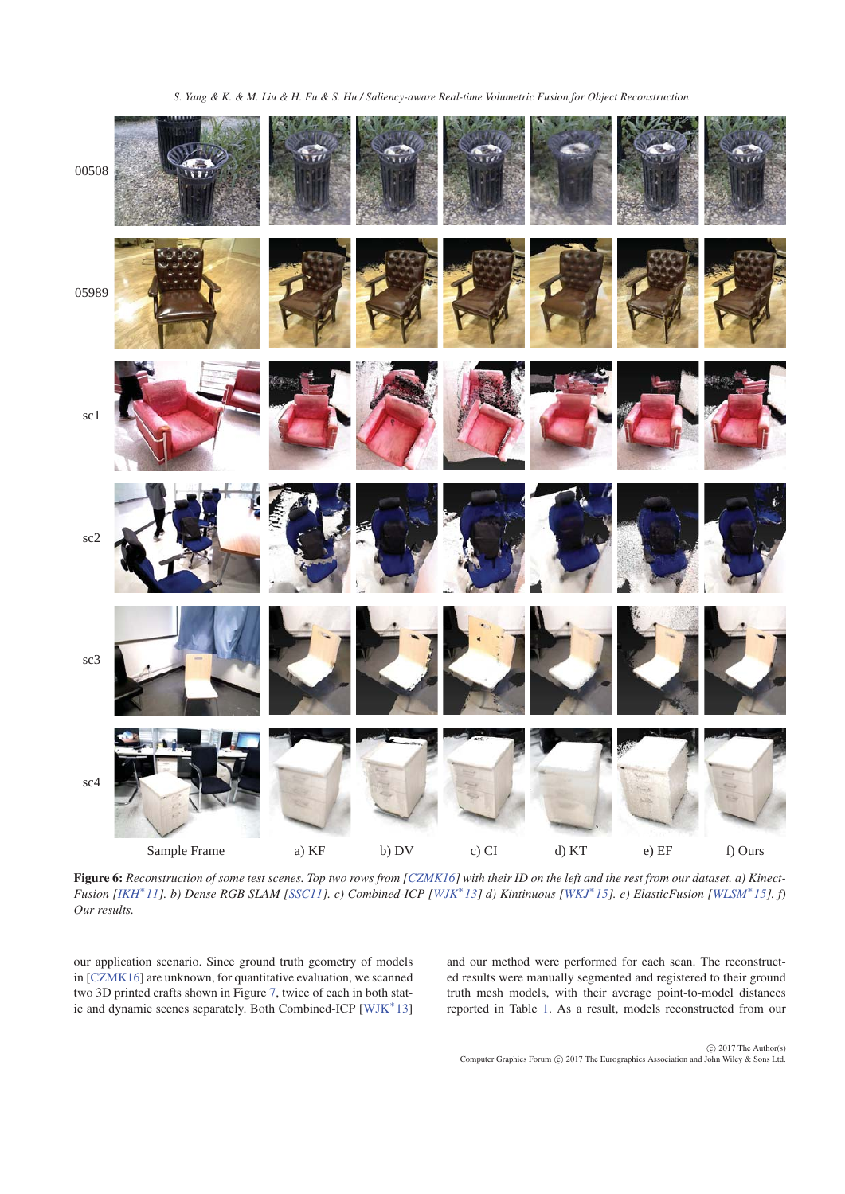*S. Yang & K. & M. Liu & H. Fu & S. Hu / Saliency-aware Real-time Volumetric Fusion for Object Reconstruction*



Figure 6: Reconstruction of some test scenes. Top two rows from [CZMK16] with their ID on the left and the rest from our dataset. a) Kinect-*Fusion [IKH*∗*11]. b) Dense RGB SLAM [SSC11]. c) Combined-ICP [WJK*∗*13] d) Kintinuous [WKJ*∗*15]. e) ElasticFusion [WLSM*∗*15]. f) Our results.*

our application scenario. Since ground truth geometry of models in [CZMK16] are unknown, for quantitative evaluation, we scanned two 3D printed crafts shown in Figure 7, twice of each in both static and dynamic scenes separately. Both Combined-ICP [WJK∗13] and our method were performed for each scan. The reconstructed results were manually segmented and registered to their ground truth mesh models, with their average point-to-model distances reported in Table 1. As a result, models reconstructed from our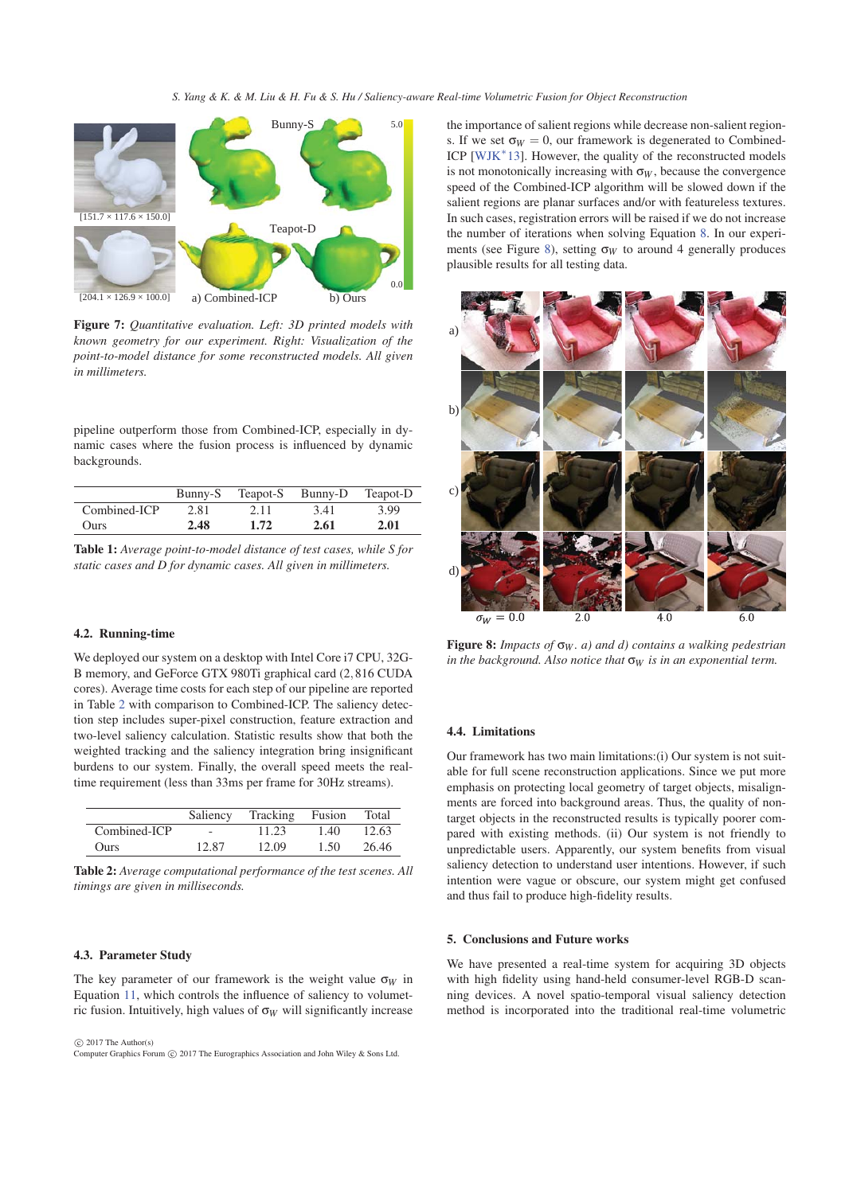### *S. Yang & K. & M. Liu & H. Fu & S. Hu / Saliency-aware Real-time Volumetric Fusion for Object Reconstruction*



Figure 7: *Quantitative evaluation. Left: 3D printed models with known geometry for our experiment. Right: Visualization of the point-to-model distance for some reconstructed models. All given in millimeters.*

pipeline outperform those from Combined-ICP, especially in dynamic cases where the fusion process is influenced by dynamic backgrounds.

|              | Bunny-S | Teapot-S | Bunny-D | Teapot-D |
|--------------|---------|----------|---------|----------|
| Combined-ICP | 2.81    | 2.11     | 3.41    | 3.99     |
| Ours         | 2.48    | 1.72     | 2.61    | 2.01     |

Table 1: *Average point-to-model distance of test cases, while S for static cases and D for dynamic cases. All given in millimeters.*

# 4.2. Running-time

We deployed our system on a desktop with Intel Core i7 CPU, 32G-B memory, and GeForce GTX 980Ti graphical card (2,816 CUDA cores). Average time costs for each step of our pipeline are reported in Table 2 with comparison to Combined-ICP. The saliency detection step includes super-pixel construction, feature extraction and two-level saliency calculation. Statistic results show that both the weighted tracking and the saliency integration bring insignificant burdens to our system. Finally, the overall speed meets the realtime requirement (less than 33ms per frame for 30Hz streams).

|              | Saliency                 | Tracking Fusion |      | Total |
|--------------|--------------------------|-----------------|------|-------|
| Combined-ICP | $\overline{\phantom{a}}$ | 11.23           | 1.40 | 12.63 |
| Ours         | 12.87                    | 12.09           | 1.50 | 26.46 |

Table 2: *Average computational performance of the test scenes. All timings are given in milliseconds.*

## 4.3. Parameter Study

The key parameter of our framework is the weight value  $\sigma_W$  in Equation 11, which controls the influence of saliency to volumetric fusion. Intuitively, high values of  $\sigma_W$  will significantly increase

 $\odot$  2017 The Author(s) Computer Graphics Forum  $\odot$  2017 The Eurographics Association and John Wiley & Sons Ltd. the importance of salient regions while decrease non-salient regions. If we set  $\sigma_W = 0$ , our framework is degenerated to Combined-ICP [WJK<sup>\*</sup>13]. However, the quality of the reconstructed models is not monotonically increasing with σ*<sup>W</sup>* , because the convergence speed of the Combined-ICP algorithm will be slowed down if the salient regions are planar surfaces and/or with featureless textures. In such cases, registration errors will be raised if we do not increase the number of iterations when solving Equation 8. In our experiments (see Figure 8), setting  $\sigma_W$  to around 4 generally produces plausible results for all testing data.



Figure 8: *Impacts of* σ*<sup>W</sup> . a) and d) contains a walking pedestrian in the background. Also notice that*  $\sigma_W$  *is in an exponential term.* 

### 4.4. Limitations

Our framework has two main limitations:(i) Our system is not suitable for full scene reconstruction applications. Since we put more emphasis on protecting local geometry of target objects, misalignments are forced into background areas. Thus, the quality of nontarget objects in the reconstructed results is typically poorer compared with existing methods. (ii) Our system is not friendly to unpredictable users. Apparently, our system benefits from visual saliency detection to understand user intentions. However, if such intention were vague or obscure, our system might get confused and thus fail to produce high-fidelity results.

### 5. Conclusions and Future works

We have presented a real-time system for acquiring 3D objects with high fidelity using hand-held consumer-level RGB-D scanning devices. A novel spatio-temporal visual saliency detection method is incorporated into the traditional real-time volumetric